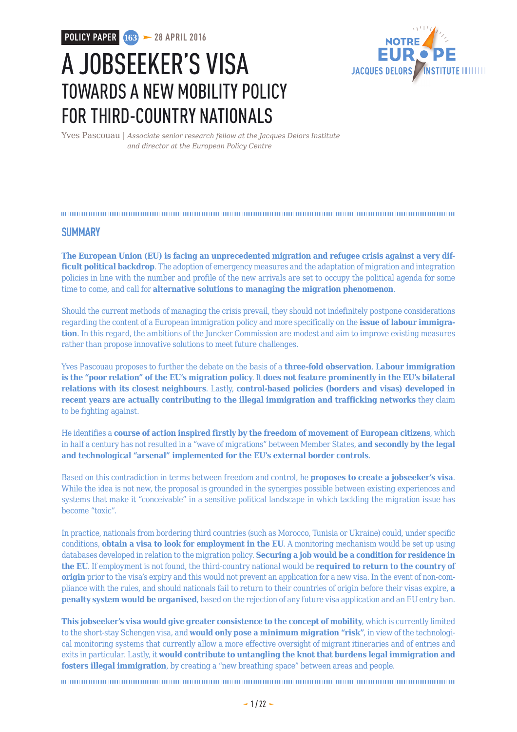**POLICY PAPER 163 28 APRIL 2016**



# A JOBSEEKER'S VISA TOWARDS A NEW MOBILITY POLICY FOR THIRD-COUNTRY NATIONALS

Yves Pascouau | *Associate senior research fellow at the Jacques Delors Institute and director at the European Policy Centre*

### **SUMMARY**

**The European Union (EU) is facing an unprecedented migration and refugee crisis against a very difficult political backdrop**. The adoption of emergency measures and the adaptation of migration and integration policies in line with the number and profile of the new arrivals are set to occupy the political agenda for some time to come, and call for **alternative solutions to managing the migration phenomenon**.

Should the current methods of managing the crisis prevail, they should not indefinitely postpone considerations regarding the content of a European immigration policy and more specifically on the **issue of labour immigration**. In this regard, the ambitions of the Juncker Commission are modest and aim to improve existing measures rather than propose innovative solutions to meet future challenges.

Yves Pascouau proposes to further the debate on the basis of a **three-fold observation**. **Labour immigration is the "poor relation" of the EU's migration policy**. It **does not feature prominently in the EU's bilateral relations with its closest neighbours**. Lastly, **control-based policies (borders and visas) developed in recent years are actually contributing to the illegal immigration and trafficking networks** they claim to be fighting against.

He identifies a **course of action inspired firstly by the freedom of movement of European citizens**, which in half a century has not resulted in a "wave of migrations" between Member States, **and secondly by the legal and technological "arsenal" implemented for the EU's external border controls**.

Based on this contradiction in terms between freedom and control, he **proposes to create a jobseeker's visa**. While the idea is not new, the proposal is grounded in the synergies possible between existing experiences and systems that make it "conceivable" in a sensitive political landscape in which tackling the migration issue has become "toxic".

In practice, nationals from bordering third countries (such as Morocco, Tunisia or Ukraine) could, under specific conditions, **obtain a visa to look for employment in the EU**. A monitoring mechanism would be set up using databases developed in relation to the migration policy. **Securing a job would be a condition for residence in the EU**. If employment is not found, the third-country national would be **required to return to the country of origin** prior to the visa's expiry and this would not prevent an application for a new visa. In the event of non-compliance with the rules, and should nationals fail to return to their countries of origin before their visas expire, **a penalty system would be organised**, based on the rejection of any future visa application and an EU entry ban.

**This jobseeker's visa would give greater consistence to the concept of mobility**, which is currently limited to the short-stay Schengen visa, and **would only pose a minimum migration "risk"**, in view of the technological monitoring systems that currently allow a more effective oversight of migrant itineraries and of entries and exits in particular. Lastly, it **would contribute to untangling the knot that burdens legal immigration and fosters illegal immigration**, by creating a "new breathing space" between areas and people.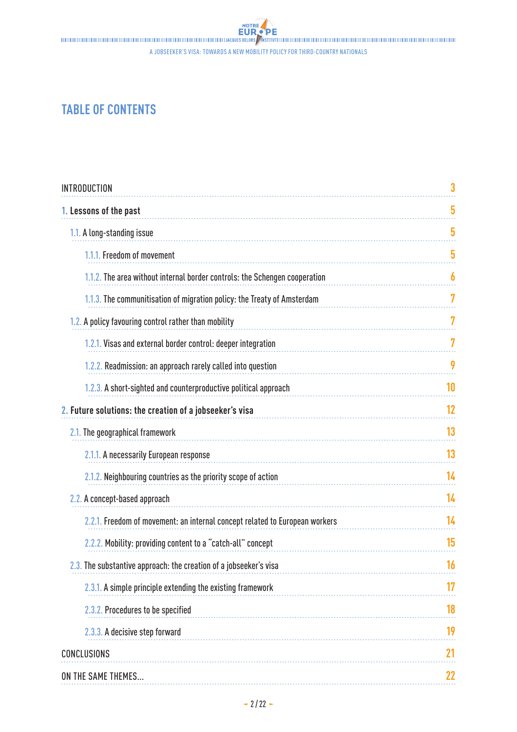A jobseeker's visa: towards a new mobility policy for third-country nationals

## **TABLE OF CONTENTS**

| <b>INTRODUCTION</b>                                                         | 3  |
|-----------------------------------------------------------------------------|----|
| 1. Lessons of the past                                                      | 5  |
| 1.1. A long-standing issue                                                  | 5  |
| 1.1.1. Freedom of movement                                                  | 5  |
| 1.1.2. The area without internal border controls: the Schengen cooperation  | 6  |
| 1.1.3. The communitisation of migration policy: the Treaty of Amsterdam     | 7  |
| 1.2. A policy favouring control rather than mobility                        | 7  |
| 1.2.1. Visas and external border control: deeper integration                | 7  |
| 1.2.2. Readmission: an approach rarely called into question                 | 9  |
| 1.2.3. A short-sighted and counterproductive political approach             | 10 |
| 2. Future solutions: the creation of a jobseeker's visa                     | 12 |
| 2.1. The geographical framework                                             | 13 |
| 2.1.1. A necessarily European response                                      | 13 |
| 2.1.2. Neighbouring countries as the priority scope of action               | 14 |
| 2.2. A concept-based approach                                               | 14 |
| 2.2.1. Freedom of movement: an internal concept related to European workers | 14 |
| 2.2.2. Mobility: providing content to a "catch-all" concept                 | 15 |
| 2.3. The substantive approach: the creation of a jobseeker's visa           | 16 |
| 2.3.1. A simple principle extending the existing framework                  |    |
| 2.3.2. Procedures to be specified                                           | 18 |
| 2.3.3. A decisive step forward                                              | 19 |
| <b>CONCLUSIONS</b>                                                          | 21 |
| ON THE SAME THEMES                                                          | 22 |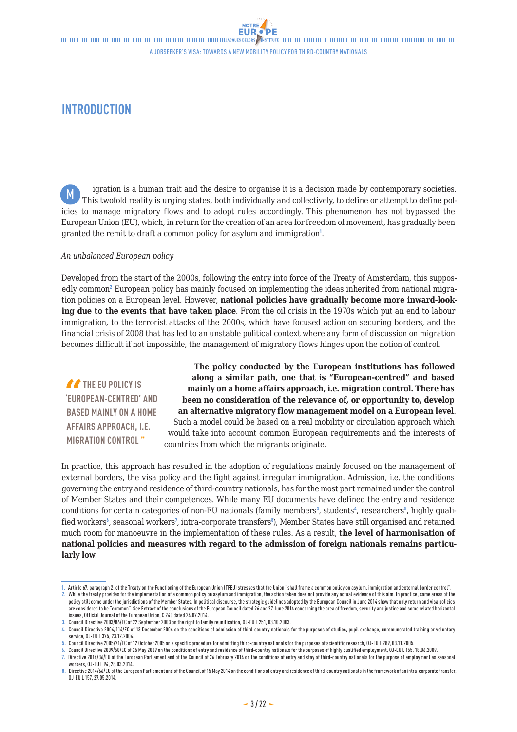NOTRE

<span id="page-2-0"></span>**INTRODUCTION**

igration is a human trait and the desire to organise it is a decision made by contemporary societies. This twofold reality is urging states, both individually and collectively, to define or attempt to define policies to manage migratory flows and to adopt rules accordingly. This phenomenon has not bypassed the European Union (EU), which, in return for the creation of an area for freedom of movement, has gradually been granted the remit to draft a common policy for asylum and immigration<sup>1</sup>. M

#### *An unbalanced European policy*

Developed from the start of the 2000s, following the entry into force of the Treaty of Amsterdam, this supposedly common<sup>2</sup> European policy has mainly focused on implementing the ideas inherited from national migration policies on a European level. However, **national policies have gradually become more inward-looking due to the events that have taken place**. From the oil crisis in the 1970s which put an end to labour immigration, to the terrorist attacks of the 2000s, which have focused action on securing borders, and the financial crisis of 2008 that has led to an unstable political context where any form of discussion on migration becomes difficult if not impossible, the management of migratory flows hinges upon the notion of control.

**THE EU POLICY IS 'EUROPEAN-CENTRED' AND BASED MAINLY ON A HOME AFFAIRS APPROACH, I.E. MIGRATION CONTROL "**

**The policy conducted by the European institutions has followed along a similar path, one that is "European-centred" and based mainly on a home affairs approach, i.e. migration control. There has been no consideration of the relevance of, or opportunity to, develop an alternative migratory flow management model on a European level**. Such a model could be based on a real mobility or circulation approach which would take into account common European requirements and the interests of countries from which the migrants originate.

In practice, this approach has resulted in the adoption of regulations mainly focused on the management of external borders, the visa policy and the fight against irregular immigration. Admission, i.e. the conditions governing the entry and residence of third-country nationals, has for the most part remained under the control of Member States and their competences. While many EU documents have defined the entry and residence conditions for certain categories of non-EU nationals (family members<sup>3</sup>, students<sup>4</sup>, researchers<sup>5</sup>, highly qualified workers<sup>6</sup>, seasonal workers<sup>7</sup>, intra-corporate transfers<sup>8</sup>), Member States have still organised and retained much room for manoeuvre in the implementation of these rules. As a result, **the level of harmonisation of national policies and measures with regard to the admission of foreign nationals remains particularly low**.

**2.** While the treaty provides for the implementation of a common policy on asylum and immigration, the action taken does not provide any actual evidence of this aim. In practice, some areas of the policy still come under the jurisdictions of the Member States. In political discourse, the strategic guidelines adopted by the European Council in June 2014 show that only return and visa policies are considered to be "common". See Extract of the conclusions of the European Council dated 26 and 27 June 2014 concerning the area of freedom, security and justice and some related horizontal issues, Official Journal of the European Union, C 240 dated 24.07.2014.

**<sup>1.</sup>** Article 67, paragraph 2, of the Treaty on the Functioning of the European Union (TFEU) stresses that the Union "shall frame a common policy on asylum, immigration and external border control".

**<sup>3.</sup>** Council Directive 2003/86/EC of 22 September 2003 on the right to family reunification, OJ-EU L 251, 03.10.2003.

**<sup>4.</sup>** Council Directive 2004/114/EC of 13 December 2004 on the conditions of admission of third-country nationals for the purposes of studies, pupil exchange, unremunerated training or voluntary service, OJ-EU L 375, 23.12.2004.

**<sup>5.</sup>** Council Directive 2005/71/EC of 12 October 2005 on a specific procedure for admitting third-country nationals for the purposes of scientific research, OJ-EU L 289, 03.11.2005.

**<sup>6.</sup>** Council Directive 2009/50/EC of 25 May 2009 on the conditions of entry and residence of third-country nationals for the purposes of highly qualified employment, OJ-EU L 155, 18.06.2009. **7.** Directive 2014/36/EU of the European Parliament and of the Council of 26 February 2014 on the conditions of entry and stay of third-country nationals for the purpose of employment as seasonal workers, OJ-EU L 94, 28.03.2014

**<sup>8.</sup>** Directive 2014/66/EU of the European Parliament and of the Council of 15 May 2014 on the conditions of entry and residence of third-country nationals in the framework of an intra-corporate transfer, OJ-EU L 157, 27.05.2014.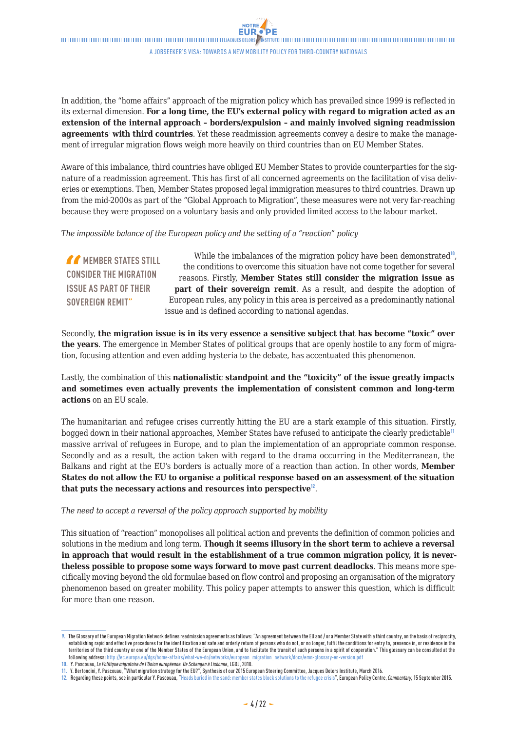In addition, the "home affairs" approach of the migration policy which has prevailed since 1999 is reflected in its external dimension. **For a long time, the EU's external policy with regard to migration acted as an extension of the internal approach – borders/expulsion – and mainly involved signing readmission agreements** with third countries. Yet these readmission agreements convey a desire to make the management of irregular migration flows weigh more heavily on third countries than on EU Member States.

Aware of this imbalance, third countries have obliged EU Member States to provide counterparties for the signature of a readmission agreement. This has first of all concerned agreements on the facilitation of visa deliveries or exemptions. Then, Member States proposed legal immigration measures to third countries. Drawn up from the mid-2000s as part of the "Global Approach to Migration", these measures were not very far-reaching because they were proposed on a voluntary basis and only provided limited access to the labour market.

*The impossible balance of the European policy and the setting of a "reaction" policy*

*MEMBER STATES STILL* **CONSIDER THE MIGRATION ISSUE AS PART OF THEIR SOVEREIGN REMIT"** While the imbalances of the migration policy have been demonstrated<sup>10</sup>, the conditions to overcome this situation have not come together for several reasons. Firstly, **Member States still consider the migration issue as part of their sovereign remit**. As a result, and despite the adoption of European rules, any policy in this area is perceived as a predominantly national issue and is defined according to national agendas.

Secondly, **the migration issue is in its very essence a sensitive subject that has become "toxic" over the years**. The emergence in Member States of political groups that are openly hostile to any form of migration, focusing attention and even adding hysteria to the debate, has accentuated this phenomenon.

Lastly, the combination of this **nationalistic standpoint and the "toxicity" of the issue greatly impacts and sometimes even actually prevents the implementation of consistent common and long-term actions** on an EU scale.

The humanitarian and refugee crises currently hitting the EU are a stark example of this situation. Firstly, bogged down in their national approaches, Member States have refused to anticipate the clearly predictable<sup>11</sup> massive arrival of refugees in Europe, and to plan the implementation of an appropriate common response. Secondly and as a result, the action taken with regard to the drama occurring in the Mediterranean, the Balkans and right at the EU's borders is actually more of a reaction than action. In other words, **Member States do not allow the EU to organise a political response based on an assessment of the situation that puts the necessary actions and resources into perspective**<sup>12</sup>.

*The need to accept a reversal of the policy approach supported by mobility*

This situation of "reaction" monopolises all political action and prevents the definition of common policies and solutions in the medium and long term. **Though it seems illusory in the short term to achieve a reversal in approach that would result in the establishment of a true common migration policy, it is nevertheless possible to propose some ways forward to move past current deadlocks**. This means more specifically moving beyond the old formulae based on flow control and proposing an organisation of the migratory phenomenon based on greater mobility. This policy paper attempts to answer this question, which is difficult for more than one reason.

**<sup>9.</sup>** The Glossary of the European Migration Network defines readmission agreements as follows: "An agreement between the EU and / or a Member State with a third country, on the basis of reciprocity, establishing rapid and effective procedures for the identification and safe and orderly return of persons who do not, or no longer, fulfil the conditions for entry to, presence in, or residence in the territories of the third country or one of the Member States of the European Union, and to facilitate the transit of such persons in a spirit of cooperation." This glossary can be consulted at the following address: [http://ec.europa.eu/dgs/home-affairs/what-we-do/networks/european\\_migration\\_network/docs/emn-glossary-en-version.pdf](http://ec.europa.eu/dgs/home-affairs/what-we-do/networks/european_migration_network/docs/emn-glossary-en-version.pdf)

**<sup>10.</sup>** Y. Pascouau, *La Politique migratoire de l'Union européenne. De Schengen à Lisbonne*, LGDJ, 2010.

**<sup>11.</sup>** Y. Bertoncini, Y. Pascouau, "What migration strategy for the EU?", Synthesis of our 2015 European Steering Committee, Jacques Delors Institute, March 2016.

**<sup>12.</sup>** Regarding these points, see in particular Y. Pascouau, "Heads buried in the sand: member states block solutions to the refugee crisis", European Policy Centre, *Commentary*, 15 September 2015.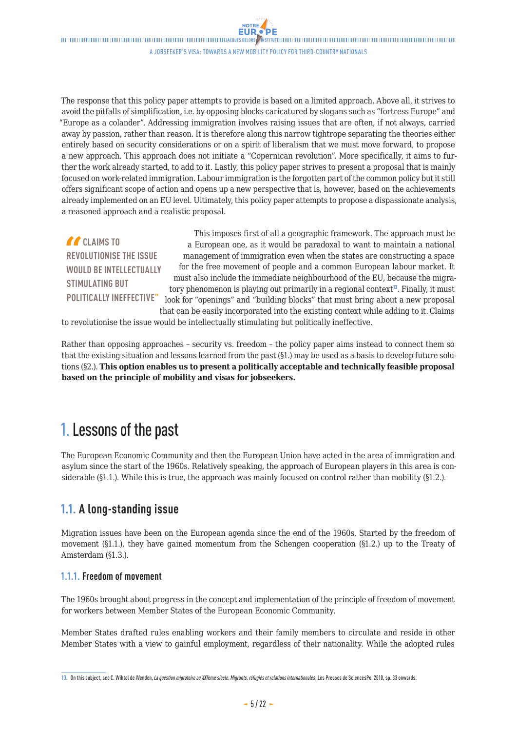<span id="page-4-0"></span>

A jobseeker's visa: towards a new mobility policy for third-country nationals

The response that this policy paper attempts to provide is based on a limited approach. Above all, it strives to avoid the pitfalls of simplification, i.e. by opposing blocks caricatured by slogans such as "fortress Europe" and "Europe as a colander". Addressing immigration involves raising issues that are often, if not always, carried away by passion, rather than reason. It is therefore along this narrow tightrope separating the theories either entirely based on security considerations or on a spirit of liberalism that we must move forward, to propose a new approach. This approach does not initiate a "Copernican revolution". More specifically, it aims to further the work already started, to add to it. Lastly, this policy paper strives to present a proposal that is mainly focused on work-related immigration. Labour immigration is the forgotten part of the common policy but it still offers significant scope of action and opens up a new perspective that is, however, based on the achievements already implemented on an EU level. Ultimately, this policy paper attempts to propose a dispassionate analysis, a reasoned approach and a realistic proposal.

*CLAIMS TO* **REVOLUTIONISE THE ISSUE WOULD BE INTELLECTUALLY STIMULATING BUT POLITICALLY INEFFECTIVE"**

This imposes first of all a geographic framework. The approach must be a European one, as it would be paradoxal to want to maintain a national management of immigration even when the states are constructing a space for the free movement of people and a common European labour market. It must also include the immediate neighbourhood of the EU, because the migratory phenomenon is playing out primarily in a regional context $\mathbb{I}^3$ . Finally, it must look for "openings" and "building blocks" that must bring about a new proposal that can be easily incorporated into the existing context while adding to it.Claims

to revolutionise the issue would be intellectually stimulating but politically ineffective.

Rather than opposing approaches – security vs. freedom – the policy paper aims instead to connect them so that the existing situation and lessons learned from the past (§1.) may be used as a basis to develop future solutions (§2.). **This option enables us to present a politically acceptable and technically feasible proposal based on the principle of mobility and visas for jobseekers.**

# 1. Lessons of the past

The European Economic Community and then the European Union have acted in the area of immigration and asylum since the start of the 1960s. Relatively speaking, the approach of European players in this area is considerable (§1.1.). While this is true, the approach was mainly focused on control rather than mobility (§1.2.).

### **1.1. A long-standing issue**

Migration issues have been on the European agenda since the end of the 1960s. Started by the freedom of movement (§1.1.), they have gained momentum from the Schengen cooperation (§1.2.) up to the Treaty of Amsterdam (§1.3.).

### **1.1.1. Freedom of movement**

The 1960s brought about progress in the concept and implementation of the principle of freedom of movement for workers between Member States of the European Economic Community.

Member States drafted rules enabling workers and their family members to circulate and reside in other Member States with a view to gainful employment, regardless of their nationality. While the adopted rules

**<sup>13.</sup>** On this subject, see C. Wihtol de Wenden, *La question migratoire au XXI*ème *siècle. Migrants, réfugiés et relations internationales*, Les Presses de SciencesPo, 2010, sp. 33 onwards.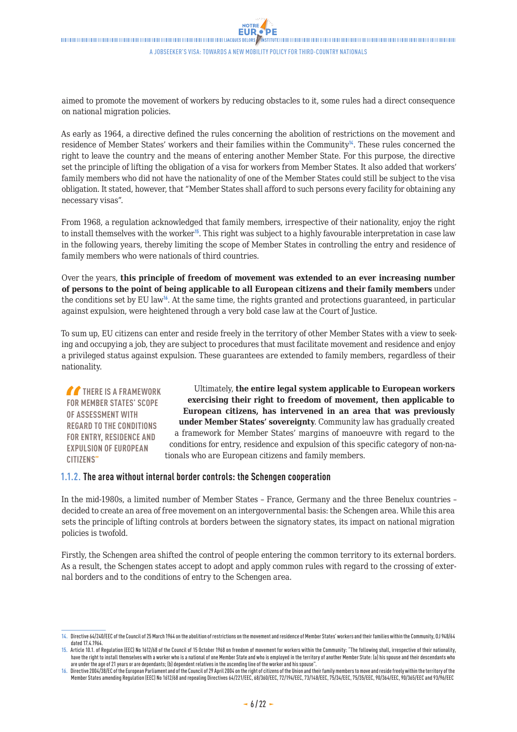<span id="page-5-0"></span>aimed to promote the movement of workers by reducing obstacles to it, some rules had a direct consequence on national migration policies.

As early as 1964, a directive defined the rules concerning the abolition of restrictions on the movement and residence of Member States' workers and their families within the Community<sup>14</sup>. These rules concerned the right to leave the country and the means of entering another Member State. For this purpose, the directive set the principle of lifting the obligation of a visa for workers from Member States. It also added that workers' family members who did not have the nationality of one of the Member States could still be subject to the visa obligation. It stated, however, that "Member States shall afford to such persons every facility for obtaining any necessary visas".

From 1968, a regulation acknowledged that family members, irrespective of their nationality, enjoy the right to install themselves with the worker<sup>15</sup>. This right was subject to a highly favourable interpretation in case law in the following years, thereby limiting the scope of Member States in controlling the entry and residence of family members who were nationals of third countries.

Over the years, **this principle of freedom of movement was extended to an ever increasing number of persons to the point of being applicable to all European citizens and their family members** under the conditions set by EU law<sup>16</sup>. At the same time, the rights granted and protections guaranteed, in particular against expulsion, were heightened through a very bold case law at the Court of Justice.

To sum up, EU citizens can enter and reside freely in the territory of other Member States with a view to seeking and occupying a job, they are subject to procedures that must facilitate movement and residence and enjoy a privileged status against expulsion. These guarantees are extended to family members, regardless of their nationality.

**THERE IS A FRAMEWORK FOR MEMBER STATES' SCOPE OF ASSESSMENT WITH REGARD TO THE CONDITIONS FOR ENTRY, RESIDENCE AND EXPULSION OF EUROPEAN CITIZENS"**

Ultimately, **the entire legal system applicable to European workers exercising their right to freedom of movement, then applicable to European citizens, has intervened in an area that was previously under Member States' sovereignty**. Community law has gradually created a framework for Member States' margins of manoeuvre with regard to the conditions for entry, residence and expulsion of this specific category of non-nationals who are European citizens and family members.

### **1.1.2. The area without internal border controls: the Schengen cooperation**

In the mid-1980s, a limited number of Member States – France, Germany and the three Benelux countries – decided to create an area of free movement on an intergovernmental basis: the Schengen area. While this area sets the principle of lifting controls at borders between the signatory states, its impact on national migration policies is twofold.

Firstly, the Schengen area shifted the control of people entering the common territory to its external borders. As a result, the Schengen states accept to adopt and apply common rules with regard to the crossing of external borders and to the conditions of entry to the Schengen area.

**<sup>14.</sup>** Directive 64/240/EEC of the Council of 25 March 1964 on the abolition of restrictions on the movement and residence of Member States' workers and their families within the Community, OJ 948/64 dated 17.4.1964.

**<sup>15.</sup>** Article 10.1. of Regulation (EEC) No 1612/68 of the Council of 15 October 1968 on freedom of movement for workers within the Community: "The following shall, irrespective of their nationality, have the right to install themselves with a worker who is a national of one Member State and who is employed in the territory of another Member State: (a) his spouse and their descendants who are under the age of 21 years or are dependants; (b) dependent relatives in the ascending line of the worker and his spouse".

**<sup>16.</sup>** Directive2004/38/EC of the European Parliament and of the Council of 29 April 2004 on the right of citizens of the Union and their family members to move and reside freely within the territory of the Member States amending Regulation (EEC) No 1612/68 and repealing Directives 64/221/EEC, 68/360/EEC, 72/194/EEC, 73/148/EEC, 75/34/EEC, 75/35/EEC, 90/364/EEC, 90/365/EEC and 93/96/EEC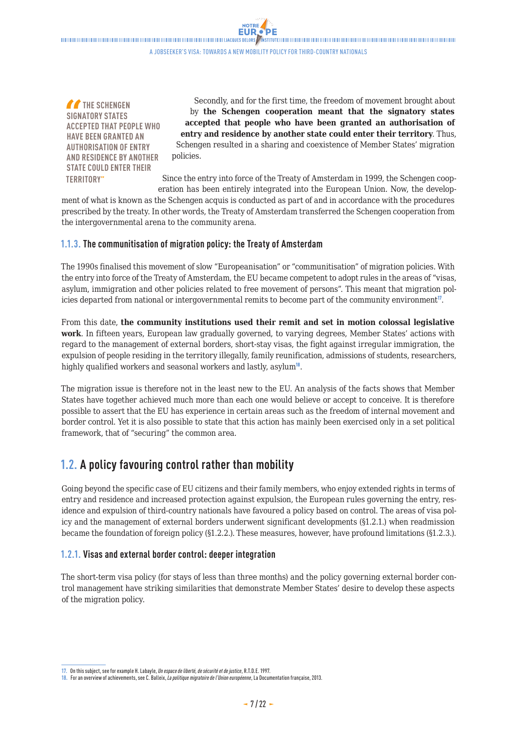<span id="page-6-0"></span> $\blacksquare$ A jobseeker's visa: towards a new mobility policy for third-country nationals

**NOTRE** 

**THE SCHENGEN SIGNATORY STATES ACCEPTED THAT PEOPLE WHO HAVE BEEN GRANTED AN AUTHORISATION OF ENTRY AND RESIDENCE BY ANOTHER STATE COULD ENTER THEIR TERRITORY"**

Secondly, and for the first time, the freedom of movement brought about by **the Schengen cooperation meant that the signatory states accepted that people who have been granted an authorisation of entry and residence by another state could enter their territory**. Thus, Schengen resulted in a sharing and coexistence of Member States' migration policies.

Since the entry into force of the Treaty of Amsterdam in 1999, the Schengen cooperation has been entirely integrated into the European Union. Now, the develop-

ment of what is known as the Schengen acquis is conducted as part of and in accordance with the procedures prescribed by the treaty. In other words, the Treaty of Amsterdam transferred the Schengen cooperation from the intergovernmental arena to the community arena.

### **1.1.3. The communitisation of migration policy: the Treaty of Amsterdam**

The 1990s finalised this movement of slow "Europeanisation" or "communitisation" of migration policies. With the entry into force of the Treaty of Amsterdam, the EU became competent to adopt rules in the areas of "visas, asylum, immigration and other policies related to free movement of persons". This meant that migration policies departed from national or intergovernmental remits to become part of the community environment<sup>17</sup>.

From this date, **the community institutions used their remit and set in motion colossal legislative work**. In fifteen years, European law gradually governed, to varying degrees, Member States' actions with regard to the management of external borders, short-stay visas, the fight against irregular immigration, the expulsion of people residing in the territory illegally, family reunification, admissions of students, researchers, highly qualified workers and seasonal workers and lastly, asylum<sup>18</sup>.

The migration issue is therefore not in the least new to the EU. An analysis of the facts shows that Member States have together achieved much more than each one would believe or accept to conceive. It is therefore possible to assert that the EU has experience in certain areas such as the freedom of internal movement and border control. Yet it is also possible to state that this action has mainly been exercised only in a set political framework, that of "securing" the common area.

### **1.2. A policy favouring control rather than mobility**

Going beyond the specific case of EU citizens and their family members, who enjoy extended rights in terms of entry and residence and increased protection against expulsion, the European rules governing the entry, residence and expulsion of third-country nationals have favoured a policy based on control. The areas of visa policy and the management of external borders underwent significant developments (§1.2.1.) when readmission became the foundation of foreign policy (§1.2.2.). These measures, however, have profound limitations (§1.2.3.).

### **1.2.1. Visas and external border control: deeper integration**

The short-term visa policy (for stays of less than three months) and the policy governing external border control management have striking similarities that demonstrate Member States' desire to develop these aspects of the migration policy.

**<sup>17.</sup>** On this subject, see for example H. Labayle, *Un espace de liberté, de sécurité et de justice*, R.T.D.E. 1997.

**<sup>18.</sup>** For an overview of achievements, see C. Balleix, *La politique migratoire de l'Union européenne*, La Documentation française, 2013.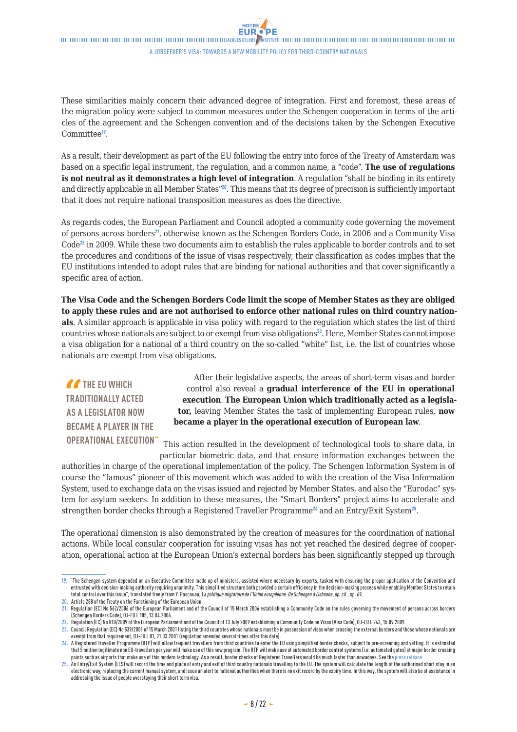These similarities mainly concern their advanced degree of integration. First and foremost, these areas of the migration policy were subject to common measures under the Schengen cooperation in terms of the articles of the agreement and the Schengen convention and of the decisions taken by the Schengen Executive Committee<sup>19</sup>.

As a result, their development as part of the EU following the entry into force of the Treaty of Amsterdam was based on a specific legal instrument, the regulation, and a common name, a "code". **The use of regulations is not neutral as it demonstrates a high level of integration**. A regulation "shall be binding in its entirety and directly applicable in all Member States"<sup>20</sup>. This means that its degree of precision is sufficiently important that it does not require national transposition measures as does the directive.

As regards codes, the European Parliament and Council adopted a community code governing the movement of persons across borders<sup>21</sup>, otherwise known as the Schengen Borders Code, in 2006 and a Community Visa  $Code^{22}$  in 2009. While these two documents aim to establish the rules applicable to border controls and to set the procedures and conditions of the issue of visas respectively, their classification as codes implies that the EU institutions intended to adopt rules that are binding for national authorities and that cover significantly a specific area of action.

**The Visa Code and the Schengen Borders Code limit the scope of Member States as they are obliged to apply these rules and are not authorised to enforce other national rules on third country nationals**. A similar approach is applicable in visa policy with regard to the regulation which states the list of third countries whose nationals are subject to or exempt from visa obligations<sup>23</sup>. Here, Member States cannot impose a visa obligation for a national of a third country on the so-called "white" list, i.e. the list of countries whose nationals are exempt from visa obligations.

**THE EU WHICH TRADITIONALLY ACTED AS A LEGISLATOR NOW BECAME A PLAYER IN THE** 

After their legislative aspects, the areas of short-term visas and border control also reveal a **gradual interference of the EU in operational execution**. **The European Union which traditionally acted as a legislator,** leaving Member States the task of implementing European rules, **now became a player in the operational execution of European law**.

**OPERATIONAL EXECUTION"** This action resulted in the development of technological tools to share data, in

particular biometric data, and that ensure information exchanges between the authorities in charge of the operational implementation of the policy. The Schengen Information System is of course the "famous" pioneer of this movement which was added to with the creation of the Visa Information System, used to exchange data on the visas issued and rejected by Member States, and also the "Eurodac" system for asylum seekers. In addition to these measures, the "Smart Borders" project aims to accelerate and strengthen border checks through a Registered Traveller Programme<sup>24</sup> and an Entry/Exit System<sup>25</sup>.

The operational dimension is also demonstrated by the creation of measures for the coordination of national actions. While local consular cooperation for issuing visas has not yet reached the desired degree of cooperation, operational action at the European Union's external borders has been significantly stepped up through

**<sup>19.</sup>** "The Schengen system depended on an Executive Committee made up of ministers, assisted where necessary by experts, tasked with ensuring the proper application of the Convention and entrusted with decision-making authority requiring unanimity. This simplified structure both provided a certain efficiency in the decision-making process while enabling Member States to retain total control over this issue", translated freely from Y. Pascouau, L*a politique migratoire de l'Union européenne. De Schengen à Lisbonne*, *op. cit.*, sp. 69.

**<sup>20.</sup>** Article 288 of the Treaty on the Functioning of the European Union.

**<sup>21.</sup>** Regulation (EC) No 562/2006 of the European Parliament and of the Council of 15 March 2006 establishing a Community Code on the rules governing the movement of persons across borders

<sup>(</sup>Schengen Borders Code), OJ-EU L 105, 13.04.2006.

<sup>22.</sup> Regulation (EC) No 810/2009 of the European Parliament and of the Council of 13 July 2009 establishing a Community Code on Visas (Visa Code), OJ-EU L 243, 15.09.2009

**<sup>23.</sup>** Council Regulation (EC) No 539/2001 of 15 March 2001 listing the third countries whose nationals must be in possession of visas when crossing the external borders and those whose nationals are exempt from that requirement, OJ-EU L 81, 21.03.2001 (regulation amended several times after this date).

**<sup>24.</sup>** A Registered Traveller Programme (RTP) will allow frequent travellers from third countries to enter the EU using simplified border checks, subject to pre-screening and vetting. It is estimated that 5 million legitimate non EU-travellers per year will make use of this new program. The RTP will make use of automated border control systems (i.e. automated gates) at major border crossing points such as airports that make use of this modern technology. As a result, border checks of Registered Travellers would be much faster than nowadays. See the [press release](http://europa.eu/rapid/press-release_IP-13-162_en.htm).<br>25. An Entry/Exit System (EES) will record th

electronic way, replacing the current manual system, and issue an alert to national authorities when there is no exit record by the expiry time. In this way, the system will also be of assistance in addressing the issue of people overstaying their short term visa.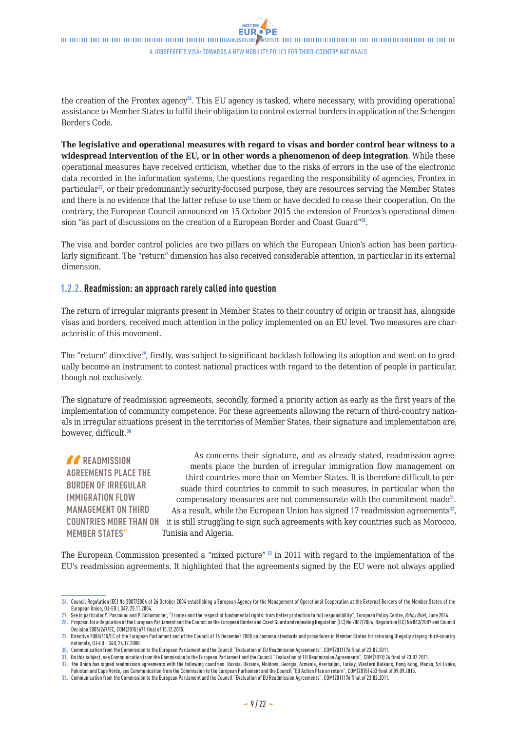<span id="page-8-0"></span>the creation of the Frontex agency<sup>26</sup>. This EU agency is tasked, where necessary, with providing operational assistance to Member States to fulfil their obligation to control external borders in application of the Schengen Borders Code.

**The legislative and operational measures with regard to visas and border control bear witness to a widespread intervention of the EU, or in other words a phenomenon of deep integration**. While these operational measures have received criticism, whether due to the risks of errors in the use of the electronic data recorded in the information systems, the questions regarding the responsibility of agencies, Frontex in particular<sup>27</sup>, or their predominantly security-focused purpose, they are resources serving the Member States and there is no evidence that the latter refuse to use them or have decided to cease their cooperation. On the contrary, the European Council announced on 15 October 2015 the extension of Frontex's operational dimension "as part of discussions on the creation of a European Border and Coast Guard"<sup>28</sup>.

The visa and border control policies are two pillars on which the European Union's action has been particularly significant. The "return" dimension has also received considerable attention, in particular in its external dimension.

### **1.2.2. Readmission: an approach rarely called into question**

The return of irregular migrants present in Member States to their country of origin or transit has, alongside visas and borders, received much attention in the policy implemented on an EU level. Two measures are characteristic of this movement.

The "return" directive<sup>29</sup>, firstly, was subject to significant backlash following its adoption and went on to gradually become an instrument to contest national practices with regard to the detention of people in particular, though not exclusively.

The signature of readmission agreements, secondly, formed a priority action as early as the first years of the implementation of community competence. For these agreements allowing the return of third-country nationals in irregular situations present in the territories of Member States, their signature and implementation are, however, difficult.<sup>30</sup>

**READMISSION AGREEMENTS PLACE THE BURDEN OF IRREGULAR IMMIGRATION FLOW MANAGEMENT ON THIRD COUNTRIES MORE THAN ON**  it is still struggling to sign such agreements with key countries such as Morocco, **MEMBER STATES"** As concerns their signature, and as already stated, readmission agreements place the burden of irregular immigration flow management on third countries more than on Member States. It is therefore difficult to persuade third countries to commit to such measures, in particular when the compensatory measures are not commensurate with the commitment made<sup>31</sup>. As a result, while the European Union has signed 17 readmission agreements $^{32}$ , Tunisia and Algeria.

The European Commission presented a "mixed picture" 33 in 2011 with regard to the implementation of the EU's readmission agreements. It highlighted that the agreements signed by the EU were not always applied

<sup>26.</sup> Council Regulation (EC) No 2007/2004 of 26 October 2004 establishing a European Agency for the Management of Operational Cooperation at the External Borders of the Member States of the European Union, OJ-EU L 349, 25.11.2004.

**<sup>27.</sup>** See in particular Y. Pascouau and P. Schumacher, "Frontex and the respect of fundamental rights: from better protection to full responsibility", European Policy Centre, *Policy Brief*, June 2014. **28.** Proposal for a Regulation of the European Parliament and the Council on the European Border and Coast Guard and repealing Regulation (EC) No 2007/2004, Regulation (EC) No 863/2007 and Council Decision 2005/267/EC, COM(2015) 671 final of 15.12.2015.

**<sup>29.</sup>** Directive 2008/115/EC of the European Parliament and of the Council of 16 December 2008 on common standards and procedures in Member States for returning illegally staying third-country nationals, OJ-EU L 348, 24.12.2008.

**<sup>30.</sup>** Communication from the Commission to the European Parliament and the Council "Evaluation of EU Readmission Agreements", COM(2011) 76 final of 23.02.2011.

**<sup>31.</sup>** On this subject, see Communication from the Commission to the European Parliament and the Council "Evaluation of EU Readmission Agreements", COM(2011) 76 final of 23.02.2011.

**<sup>32.</sup>** The Union has signed readmission agreements with the following countries: Russia, Ukraine, Moldova, Georgia, Armenia, Azerbaijan, Turkey, Western Balkans, Hong Kong, Macao, Sri Lanka,

Pakistan and Cape Verde, see Communication from the Commission to the European Parliament and the Council "EU Action Plan on return", COM(2015) 453 final of 09.09.2015.

**<sup>33.</sup>** Communication from the Commission to the European Parliament and the Council "Evaluation of EU Readmission Agreements", COM(2011) 76 final of 23.02.2011.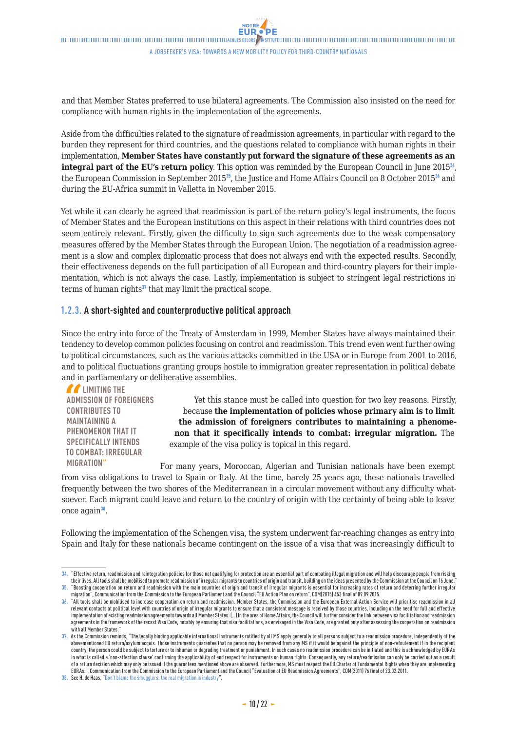<span id="page-9-0"></span>**FUR**  $\blacksquare$ A jobseeker's visa: towards a new mobility policy for third-country nationals

**NOTRE** 

and that Member States preferred to use bilateral agreements. The Commission also insisted on the need for compliance with human rights in the implementation of the agreements.

Aside from the difficulties related to the signature of readmission agreements, in particular with regard to the burden they represent for third countries, and the questions related to compliance with human rights in their implementation, **Member States have constantly put forward the signature of these agreements as an integral part of the EU's return policy**. This option was reminded by the European Council in June 2015<sup>34</sup>, the European Commission in September 2015<sup>35</sup>, the Justice and Home Affairs Council on 8 October 2015<sup>36</sup> and during the EU-Africa summit in Valletta in November 2015.

Yet while it can clearly be agreed that readmission is part of the return policy's legal instruments, the focus of Member States and the European institutions on this aspect in their relations with third countries does not seem entirely relevant. Firstly, given the difficulty to sign such agreements due to the weak compensatory measures offered by the Member States through the European Union. The negotiation of a readmission agreement is a slow and complex diplomatic process that does not always end with the expected results. Secondly, their effectiveness depends on the full participation of all European and third-country players for their implementation, which is not always the case. Lastly, implementation is subject to stringent legal restrictions in terms of human rights<sup>37</sup> that may limit the practical scope.

### **1.2.3. A short-sighted and counterproductive political approach**

Since the entry into force of the Treaty of Amsterdam in 1999, Member States have always maintained their tendency to develop common policies focusing on control and readmission. This trend even went further owing to political circumstances, such as the various attacks committed in the USA or in Europe from 2001 to 2016, and to political fluctuations granting groups hostile to immigration greater representation in political debate and in parliamentary or deliberative assemblies.

*LA* **LIMITING THE ADMISSION OF FOREIGNERS CONTRIBUTES TO MAINTAINING A PHENOMENON THAT IT SPECIFICALLY INTENDS TO COMBAT: IRREGULAR MIGRATION"**

Yet this stance must be called into question for two key reasons. Firstly, because **the implementation of policies whose primary aim is to limit the admission of foreigners contributes to maintaining a phenomenon that it specifically intends to combat: irregular migration.** The example of the visa policy is topical in this regard.

For many years, Moroccan, Algerian and Tunisian nationals have been exempt from visa obligations to travel to Spain or Italy. At the time, barely 25 years ago, these nationals travelled frequently between the two shores of the Mediterranean in a circular movement without any difficulty whatsoever. Each migrant could leave and return to the country of origin with the certainty of being able to leave once again<sup>38</sup>.

Following the implementation of the Schengen visa, the system underwent far-reaching changes as entry into Spain and Italy for these nationals became contingent on the issue of a visa that was increasingly difficult to

**<sup>34.</sup>** "Effective return, readmission and reintegration policies for those not qualifying for protection are an essential part of combating illegal migration and will help discourage people from risking their lives. All tools shall be mobilised to promote readmission of irregular migrants to countries of origin and transit, building on the ideas presented by the Commission at the Council on 16 June." **35.** "Boosting cooperation on return and readmission with the main countries of origin and transit of irregular migrants is essential for increasing rates of return and deterring further irregular

migration", Communication from the Commission to the European Parliament and the Council "EU Action Plan on return", COM(2015) 453 final of 09.09.2015. **36.** "All tools shall be mobilised to increase cooperation on return and readmission. Member States, the Commission and the European External Action Service will prioritise readmission in all relevant contacts at political level with countries of origin of irregular migrants to ensure that a consistent message is received by those countries, including on the need for full and effective implementation of existing readmission agreements towards all Member States. (…) In the area of Home Affairs, the Council will further consider the link between visa facilitation and readmission agreements in the framework of the recast Visa Code, notably by ensuring that visa facilitations, as envisaged in the Visa Code, are granted only after assessing the cooperation on readmission with all Member States.

**<sup>37.</sup>** As the Commission reminds, "The legally binding applicable international instruments ratified by all MS apply generally to all persons subject to a readmission procedure, independently of the abovementioned EU return/asylum acquis. Those instruments guarantee that no person may be removed from any MS if it would be against the principle of non-refoulement if in the recipient country, the person could be subject to torture or to inhuman or degrading treatment or punishment. In such cases no readmission procedure can be initiated and this is acknowledged by EURAs in what is called a 'non-affection clause' confirming the applicability of and respect for instruments on human rights. Consequently, any return/readmission can only be carried out as a result of a return decision which may only be issued if the guarantees mentioned above are observed. Furthermore, MS must respect the EU Charter of Fundamental Rights when they are implementing EURAs.", Communication from the Commission to the European Parliament and the Council "Evaluation of EU Readmission Agreements", COM(2011) 76 final of 23.02.2011.

**<sup>38.</sup>** See H. de Haas, "[Don't blame the smugglers: the real migration is industry](http://heindehaas.blogspot.fr/2015/09/dont-blame-smugglers-real-migration.html)".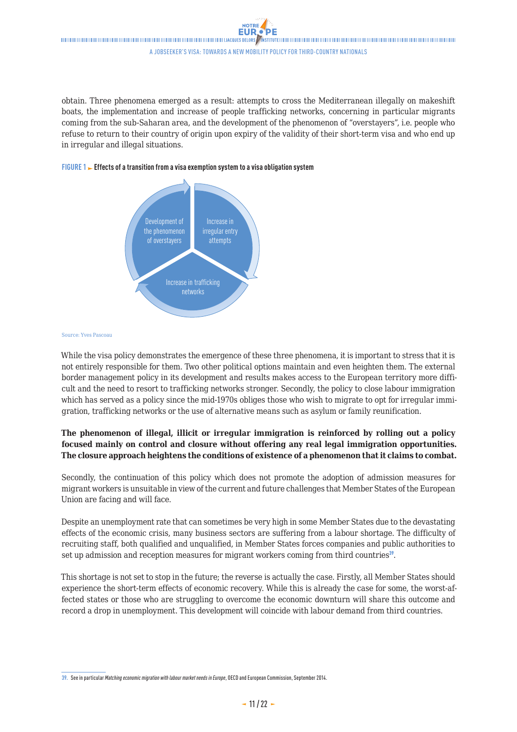obtain. Three phenomena emerged as a result: attempts to cross the Mediterranean illegally on makeshift boats, the implementation and increase of people trafficking networks, concerning in particular migrants coming from the sub-Saharan area, and the development of the phenomenon of "overstayers", i.e. people who refuse to return to their country of origin upon expiry of the validity of their short-term visa and who end up in irregular and illegal situations.

#### **FIGURE 1 Effects of a transition from a visa exemption system to a visa obligation system**



#### Source: Yves Pascoau

While the visa policy demonstrates the emergence of these three phenomena, it is important to stress that it is not entirely responsible for them. Two other political options maintain and even heighten them. The external border management policy in its development and results makes access to the European territory more difficult and the need to resort to trafficking networks stronger. Secondly, the policy to close labour immigration which has served as a policy since the mid-1970s obliges those who wish to migrate to opt for irregular immigration, trafficking networks or the use of alternative means such as asylum or family reunification.

### **The phenomenon of illegal, illicit or irregular immigration is reinforced by rolling out a policy focused mainly on control and closure without offering any real legal immigration opportunities. The closure approach heightens the conditions of existence of a phenomenon that it claims to combat.**

Secondly, the continuation of this policy which does not promote the adoption of admission measures for migrant workers is unsuitable in view of the current and future challenges that Member States of the European Union are facing and will face.

Despite an unemployment rate that can sometimes be very high in some Member States due to the devastating effects of the economic crisis, many business sectors are suffering from a labour shortage. The difficulty of recruiting staff, both qualified and unqualified, in Member States forces companies and public authorities to set up admission and reception measures for migrant workers coming from third countries<sup>39</sup>.

This shortage is not set to stop in the future; the reverse is actually the case. Firstly, all Member States should experience the short-term effects of economic recovery. While this is already the case for some, the worst-affected states or those who are struggling to overcome the economic downturn will share this outcome and record a drop in unemployment. This development will coincide with labour demand from third countries.

**<sup>39.</sup>** See in particular *Matching economic migration with labour market needs in Europe*, OECD and European Commission, September 2014.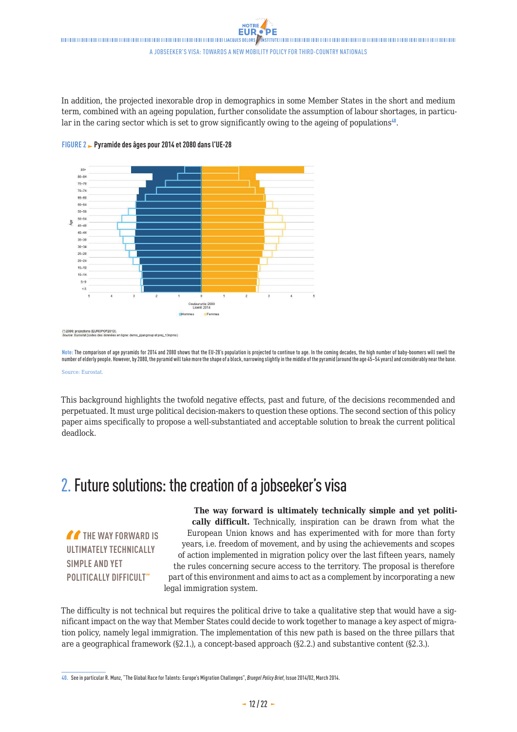<span id="page-11-0"></span>In addition, the projected inexorable drop in demographics in some Member States in the short and medium term, combined with an ageing population, further consolidate the assumption of labour shortages, in particular in the caring sector which is set to grow significantly owing to the ageing of populations<sup>40</sup>.





(\*) 2080: projections (EUROPOP2013).<br>Source: Eurostat (codes des données en ligne: demo\_pjangroup et proj\_13npms)

**Note:** The comparison of age pyramids for 2014 and 2080 shows that the EU-28's population is projected to continue to age. In the coming decades, the high number of baby-boomers will swell the number of elderly people. However, by 2080, the pyramid will take more the shape of a block, narrowing slightly in the middle of the pyramid (around the age 45–54 years) and considerably near the base. Source: Eurostat.

This background highlights the twofold negative effects, past and future, of the decisions recommended and perpetuated. It must urge political decision-makers to question these options. The second section of this policy paper aims specifically to propose a well-substantiated and acceptable solution to break the current political deadlock.

# 2. Future solutions: the creation of a jobseeker's visa

**THE WAY FORWARD IS ULTIMATELY TECHNICALLY SIMPLE AND YET POLITICALLY DIFFICULT"**

**The way forward is ultimately technically simple and yet politically difficult.** Technically, inspiration can be drawn from what the European Union knows and has experimented with for more than forty years, i.e. freedom of movement, and by using the achievements and scopes of action implemented in migration policy over the last fifteen years, namely the rules concerning secure access to the territory. The proposal is therefore part of this environment and aims to act as a complement by incorporating a new legal immigration system.

The difficulty is not technical but requires the political drive to take a qualitative step that would have a significant impact on the way that Member States could decide to work together to manage a key aspect of migration policy, namely legal immigration. The implementation of this new path is based on the three pillars that are a geographical framework (§2.1.), a concept-based approach (§2.2.) and substantive content (§2.3.).

**<sup>40.</sup>** See in particular R. Munz, "The Global Race for Talents: Europe's Migration Challenges", *Bruegel Policy Brief*, Issue 2014/02, March 2014.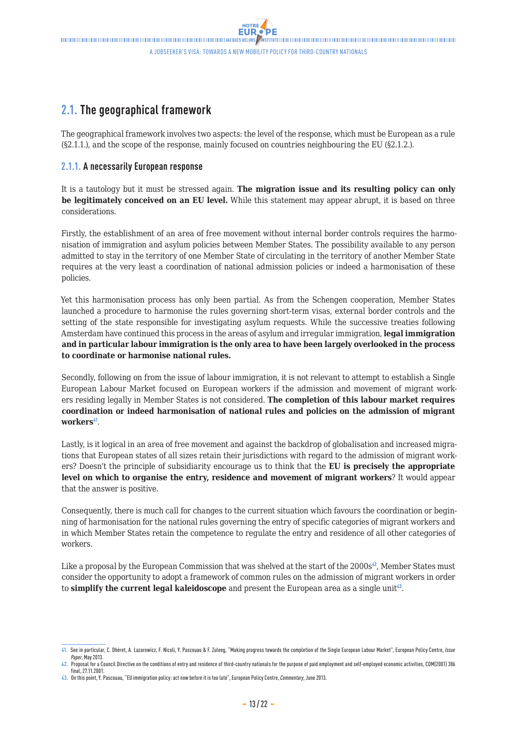### <span id="page-12-0"></span>**2.1. The geographical framework**

The geographical framework involves two aspects: the level of the response, which must be European as a rule (§2.1.1.), and the scope of the response, mainly focused on countries neighbouring the EU (§2.1.2.).

### **2.1.1. A necessarily European response**

It is a tautology but it must be stressed again. **The migration issue and its resulting policy can only be legitimately conceived on an EU level.** While this statement may appear abrupt, it is based on three considerations.

Firstly, the establishment of an area of free movement without internal border controls requires the harmonisation of immigration and asylum policies between Member States. The possibility available to any person admitted to stay in the territory of one Member State of circulating in the territory of another Member State requires at the very least a coordination of national admission policies or indeed a harmonisation of these policies.

Yet this harmonisation process has only been partial. As from the Schengen cooperation, Member States launched a procedure to harmonise the rules governing short-term visas, external border controls and the setting of the state responsible for investigating asylum requests. While the successive treaties following Amsterdam have continued this process in the areas of asylum and irregular immigration, **legal immigration and in particular labour immigration is the only area to have been largely overlooked in the process to coordinate or harmonise national rules.**

Secondly, following on from the issue of labour immigration, it is not relevant to attempt to establish a Single European Labour Market focused on European workers if the admission and movement of migrant workers residing legally in Member States is not considered. **The completion of this labour market requires coordination or indeed harmonisation of national rules and policies on the admission of migrant**  workers<sup>41</sup>.

Lastly, is it logical in an area of free movement and against the backdrop of globalisation and increased migrations that European states of all sizes retain their jurisdictions with regard to the admission of migrant workers? Doesn't the principle of subsidiarity encourage us to think that the **EU is precisely the appropriate level on which to organise the entry, residence and movement of migrant workers**? It would appear that the answer is positive.

Consequently, there is much call for changes to the current situation which favours the coordination or beginning of harmonisation for the national rules governing the entry of specific categories of migrant workers and in which Member States retain the competence to regulate the entry and residence of all other categories of workers.

Like a proposal by the European Commission that was shelved at the start of the  $2000s^{2/2}$ , Member States must consider the opportunity to adopt a framework of common rules on the admission of migrant workers in order to **simplify the current legal kaleidoscope** and present the European area as a single unit<sup>43</sup>.

**<sup>41.</sup>** See in particular, C. Dhéret, A. Lazarowicz, F. Nicoli, Y. Pascouau & F. Zuleeg, "Making progress towards the completion of the Single European Labour Market", European Policy Centre, *Issue Paper*, May 2013.

**<sup>42.</sup>** Proposal for a Council Directive on the conditions of entry and residence of third-country nationals for the purpose of paid employment and self-employed economic activities, COM(2001) 386 final, 27.11.2001.

**<sup>43.</sup>** On this point, Y. Pascouau, "EU immigration policy: act now before it is too late", European Policy Centre, *Commentary*, June 2013.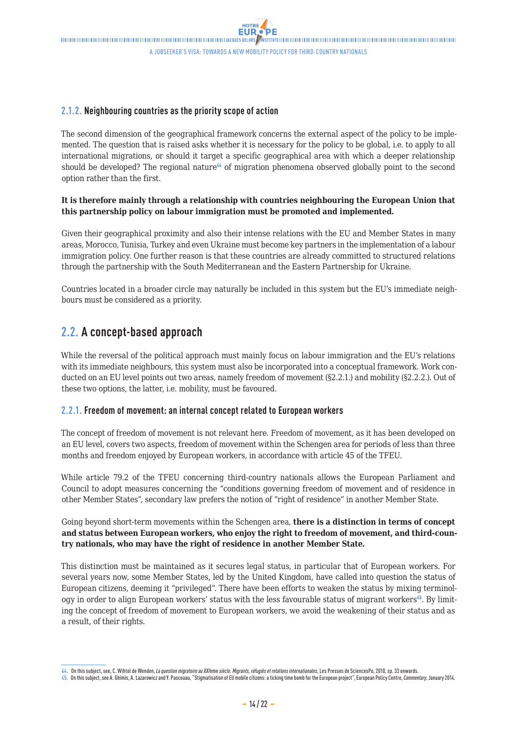### <span id="page-13-0"></span>**2.1.2. Neighbouring countries as the priority scope of action**

The second dimension of the geographical framework concerns the external aspect of the policy to be implemented. The question that is raised asks whether it is necessary for the policy to be global, i.e. to apply to all international migrations, or should it target a specific geographical area with which a deeper relationship should be developed? The regional nature<sup>44</sup> of migration phenomena observed globally point to the second option rather than the first.

### **It is therefore mainly through a relationship with countries neighbouring the European Union that this partnership policy on labour immigration must be promoted and implemented.**

Given their geographical proximity and also their intense relations with the EU and Member States in many areas, Morocco, Tunisia, Turkey and even Ukraine must become key partners in the implementation of a labour immigration policy. One further reason is that these countries are already committed to structured relations through the partnership with the South Mediterranean and the Eastern Partnership for Ukraine.

Countries located in a broader circle may naturally be included in this system but the EU's immediate neighbours must be considered as a priority.

### **2.2. A concept-based approach**

While the reversal of the political approach must mainly focus on labour immigration and the EU's relations with its immediate neighbours, this system must also be incorporated into a conceptual framework. Work conducted on an EU level points out two areas, namely freedom of movement (§2.2.1.) and mobility (§2.2.2.). Out of these two options, the latter, i.e. mobility, must be favoured.

### **2.2.1. Freedom of movement: an internal concept related to European workers**

The concept of freedom of movement is not relevant here. Freedom of movement, as it has been developed on an EU level, covers two aspects, freedom of movement within the Schengen area for periods of less than three months and freedom enjoyed by European workers, in accordance with article 45 of the TFEU.

While article 79.2 of the TFEU concerning third-country nationals allows the European Parliament and Council to adopt measures concerning the "conditions governing freedom of movement and of residence in other Member States", secondary law prefers the notion of "right of residence" in another Member State.

Going beyond short-term movements within the Schengen area, **there is a distinction in terms of concept and status between European workers, who enjoy the right to freedom of movement, and third-country nationals, who may have the right of residence in another Member State.**

This distinction must be maintained as it secures legal status, in particular that of European workers. For several years now, some Member States, led by the United Kingdom, have called into question the status of European citizens, deeming it "privileged". There have been efforts to weaken the status by mixing terminology in order to align European workers' status with the less favourable status of migrant workers<sup>45</sup>. By limiting the concept of freedom of movement to European workers, we avoid the weakening of their status and as a result, of their rights.

**<sup>44.</sup>** On this subject, see, C. Wihtol de Wenden, *La question migratoire au XXI*ème *siècle. Migrants, réfugiés et relations internationales*, Les Presses de SciencesPo, 2010, sp. 33 onwards.

**<sup>45.</sup>** On this subject, see A. Ghimis, A. Lazarowicz and Y. Pascouau, "Stigmatisation of EU mobile citizens: a ticking time bomb for the European project", European Policy Centre, *Commentary*, January 2014.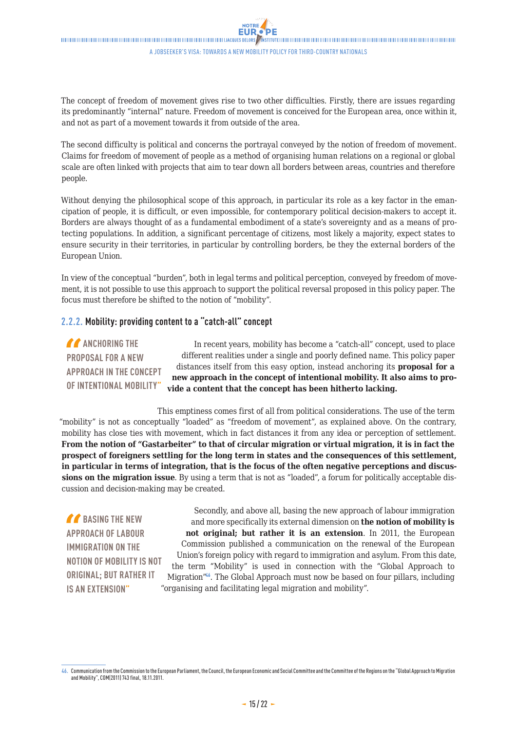<span id="page-14-0"></span>The concept of freedom of movement gives rise to two other difficulties. Firstly, there are issues regarding its predominantly "internal" nature. Freedom of movement is conceived for the European area, once within it, and not as part of a movement towards it from outside of the area.

The second difficulty is political and concerns the portrayal conveyed by the notion of freedom of movement. Claims for freedom of movement of people as a method of organising human relations on a regional or global scale are often linked with projects that aim to tear down all borders between areas, countries and therefore people.

Without denying the philosophical scope of this approach, in particular its role as a key factor in the emancipation of people, it is difficult, or even impossible, for contemporary political decision-makers to accept it. Borders are always thought of as a fundamental embodiment of a state's sovereignty and as a means of protecting populations. In addition, a significant percentage of citizens, most likely a majority, expect states to ensure security in their territories, in particular by controlling borders, be they the external borders of the European Union.

In view of the conceptual "burden", both in legal terms and political perception, conveyed by freedom of movement, it is not possible to use this approach to support the political reversal proposed in this policy paper. The focus must therefore be shifted to the notion of "mobility".

### **2.2.2. Mobility: providing content to a "catch-all" concept**

**A** ANCHORING THE **PROPOSAL FOR A NEW APPROACH IN THE CONCEPT OF INTENTIONAL MOBILITY"**

In recent years, mobility has become a "catch-all" concept, used to place different realities under a single and poorly defined name. This policy paper distances itself from this easy option, instead anchoring its **proposal for a new approach in the concept of intentional mobility. It also aims to provide a content that the concept has been hitherto lacking.**

This emptiness comes first of all from political considerations. The use of the term "mobility" is not as conceptually "loaded" as "freedom of movement", as explained above. On the contrary, mobility has close ties with movement, which in fact distances it from any idea or perception of settlement. **From the notion of "Gastarbeiter" to that of circular migration or virtual migration, it is in fact the prospect of foreigners settling for the long term in states and the consequences of this settlement, in particular in terms of integration, that is the focus of the often negative perceptions and discussions on the migration issue**. By using a term that is not as "loaded", a forum for politically acceptable discussion and decision-making may be created.

*C* BASING THE NEW **APPROACH OF LABOUR IMMIGRATION ON THE NOTION OF MOBILITY IS NOT ORIGINAL; BUT RATHER IT IS AN EXTENSION"**

Secondly, and above all, basing the new approach of labour immigration and more specifically its external dimension on **the notion of mobility is not original; but rather it is an extension**. In 2011, the European Commission published a communication on the renewal of the European Union's foreign policy with regard to immigration and asylum. From this date, the term "Mobility" is used in connection with the "Global Approach to Migration<sup>"46</sup>. The Global Approach must now be based on four pillars, including "organising and facilitating legal migration and mobility".

**<sup>46.</sup>** Communication from the Commission to the European Parliament, the Council, the European Economic and Social Committee and the Committee of the Regions on the "Global Approach to Migration and Mobility", COM(2011) 743 final, 18.11.2011.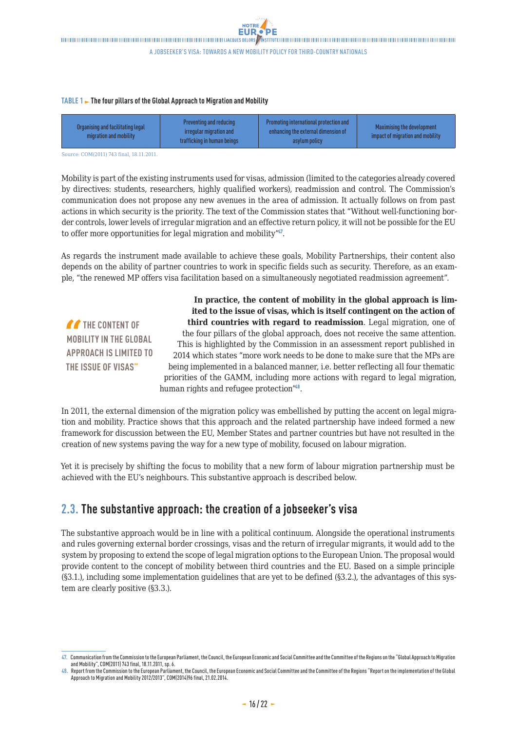#### <span id="page-15-0"></span>**TABLE 1 > The four pillars of the Global Approach to Migration and Mobility**

| Organising and facilitating legal<br>migration and mobility | Preventing and reducing<br>irregular migration and<br>trafficking in human beings | Promoting international protection and<br>enhancing the external dimension of<br>asylum policy | Maximising the development<br>impact of migration and mobility |
|-------------------------------------------------------------|-----------------------------------------------------------------------------------|------------------------------------------------------------------------------------------------|----------------------------------------------------------------|
|-------------------------------------------------------------|-----------------------------------------------------------------------------------|------------------------------------------------------------------------------------------------|----------------------------------------------------------------|

Source: COM(2011) 743 final, 18.11.2011.

Mobility is part of the existing instruments used for visas, admission (limited to the categories already covered by directives: students, researchers, highly qualified workers), readmission and control. The Commission's communication does not propose any new avenues in the area of admission. It actually follows on from past actions in which security is the priority. The text of the Commission states that "Without well-functioning border controls, lower levels of irregular migration and an effective return policy, it will not be possible for the EU to offer more opportunities for legal migration and mobility".

As regards the instrument made available to achieve these goals, Mobility Partnerships, their content also depends on the ability of partner countries to work in specific fields such as security. Therefore, as an example, "the renewed MP offers visa facilitation based on a simultaneously negotiated readmission agreement".

**THE CONTENT OF MOBILITY IN THE GLOBAL APPROACH IS LIMITED TO THE ISSUE OF VISAS"**

**In practice, the content of mobility in the global approach is limited to the issue of visas, which is itself contingent on the action of third countries with regard to readmission**. Legal migration, one of the four pillars of the global approach, does not receive the same attention. This is highlighted by the Commission in an assessment report published in 2014 which states "more work needs to be done to make sure that the MPs are being implemented in a balanced manner, i.e. better reflecting all four thematic priorities of the GAMM, including more actions with regard to legal migration, human rights and refugee protection"<sup>48</sup>.

In 2011, the external dimension of the migration policy was embellished by putting the accent on legal migration and mobility. Practice shows that this approach and the related partnership have indeed formed a new framework for discussion between the EU, Member States and partner countries but have not resulted in the creation of new systems paving the way for a new type of mobility, focused on labour migration.

Yet it is precisely by shifting the focus to mobility that a new form of labour migration partnership must be achieved with the EU's neighbours. This substantive approach is described below.

### **2.3. The substantive approach: the creation of a jobseeker's visa**

The substantive approach would be in line with a political continuum. Alongside the operational instruments and rules governing external border crossings, visas and the return of irregular migrants, it would add to the system by proposing to extend the scope of legal migration options to the European Union. The proposal would provide content to the concept of mobility between third countries and the EU. Based on a simple principle (§3.1.), including some implementation guidelines that are yet to be defined (§3.2.), the advantages of this system are clearly positive (§3.3.).

**<sup>47.</sup>** Communication from the Commission to the European Parliament, the Council, the European Economic and Social Committee and the Committee of the Regions on the "Global Approach to Migration and Mobility", COM(2011) 743 final, 18.11.2011, sp. 6.

**<sup>48.</sup>** Report from the Commission to the European Parliament, the Council, the European Economic and Social Committee and the Committee of the Regions "Report on the implementation of the Global Approach to Migration and Mobility2012/2013", COM(2014)96 final, 21.02.2014.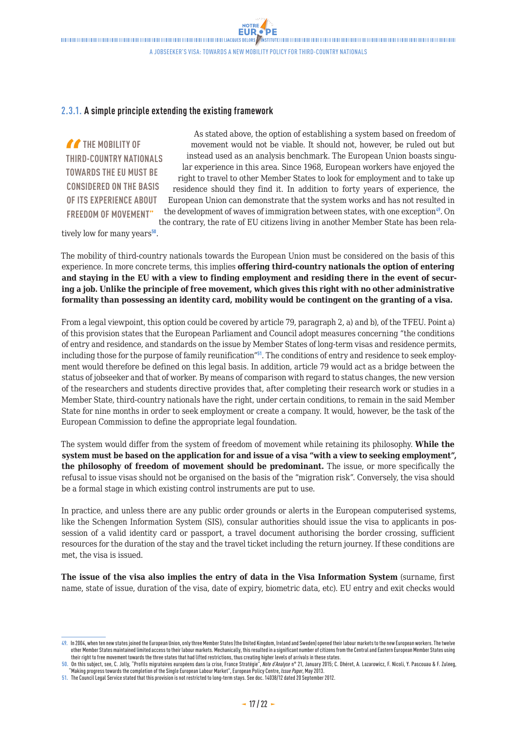### <span id="page-16-0"></span>**2.3.1. A simple principle extending the existing framework**

**THE MOBILITY OF THIRD-COUNTRY NATIONALS TOWARDS THE EU MUST BE CONSIDERED ON THE BASIS OF ITS EXPERIENCE ABOUT FREEDOM OF MOVEMENT"**

As stated above, the option of establishing a system based on freedom of movement would not be viable. It should not, however, be ruled out but instead used as an analysis benchmark. The European Union boasts singular experience in this area. Since 1968, European workers have enjoyed the right to travel to other Member States to look for employment and to take up residence should they find it. In addition to forty years of experience, the European Union can demonstrate that the system works and has not resulted in the development of waves of immigration between states, with one exception<sup>49</sup>. On the contrary, the rate of EU citizens living in another Member State has been rela-

tively low for many years $50$ .

The mobility of third-country nationals towards the European Union must be considered on the basis of this experience. In more concrete terms, this implies **offering third-country nationals the option of entering and staying in the EU with a view to finding employment and residing there in the event of securing a job. Unlike the principle of free movement, which gives this right with no other administrative formality than possessing an identity card, mobility would be contingent on the granting of a visa.**

From a legal viewpoint, this option could be covered by article 79, paragraph 2, a) and b), of the TFEU. Point a) of this provision states that the European Parliament and Council adopt measures concerning "the conditions of entry and residence, and standards on the issue by Member States of long-term visas and residence permits, including those for the purpose of family reunification"<sup>51</sup>. The conditions of entry and residence to seek employment would therefore be defined on this legal basis. In addition, article 79 would act as a bridge between the status of jobseeker and that of worker. By means of comparison with regard to status changes, the new version of the researchers and students directive provides that, after completing their research work or studies in a Member State, third-country nationals have the right, under certain conditions, to remain in the said Member State for nine months in order to seek employment or create a company. It would, however, be the task of the European Commission to define the appropriate legal foundation.

The system would differ from the system of freedom of movement while retaining its philosophy. **While the system must be based on the application for and issue of a visa "with a view to seeking employment", the philosophy of freedom of movement should be predominant.** The issue, or more specifically the refusal to issue visas should not be organised on the basis of the "migration risk". Conversely, the visa should be a formal stage in which existing control instruments are put to use.

In practice, and unless there are any public order grounds or alerts in the European computerised systems, like the Schengen Information System (SIS), consular authorities should issue the visa to applicants in possession of a valid identity card or passport, a travel document authorising the border crossing, sufficient resources for the duration of the stay and the travel ticket including the return journey. If these conditions are met, the visa is issued.

**The issue of the visa also implies the entry of data in the Visa Information System** (surname, first name, state of issue, duration of the visa, date of expiry, biometric data, etc). EU entry and exit checks would

**<sup>49.</sup>** In 2004, when ten new states joined the European Union, only three Member States (the United Kingdom, Ireland and Sweden) opened their labour markets to the new European workers. The twelve other Member States maintained limited access to their labour markets. Mechanically, this resulted in a significant number of citizens from the Central and Eastern European Member States using their right to free movement towards the three states that had lifted restrictions, thus creating higher levels of arrivals in these states.

**<sup>50.</sup>** On this subject, see, C. Jolly, "Profils migratoires européens dans la crise, France Stratégie", *Note d'Analyse* n° 21, January 2015; C. Dhéret, A. Lazarowicz, F. Nicoli, Y. Pascouau & F. Zuleeg, "Making progress towards the completion of the Single European Labour Market", European Policy Centre, *Issue Paper*, May 2013.

**<sup>51.</sup>** The Council Legal Service stated that this provision is not restricted to long-term stays. See doc. 14038/12 dated 20 September 2012.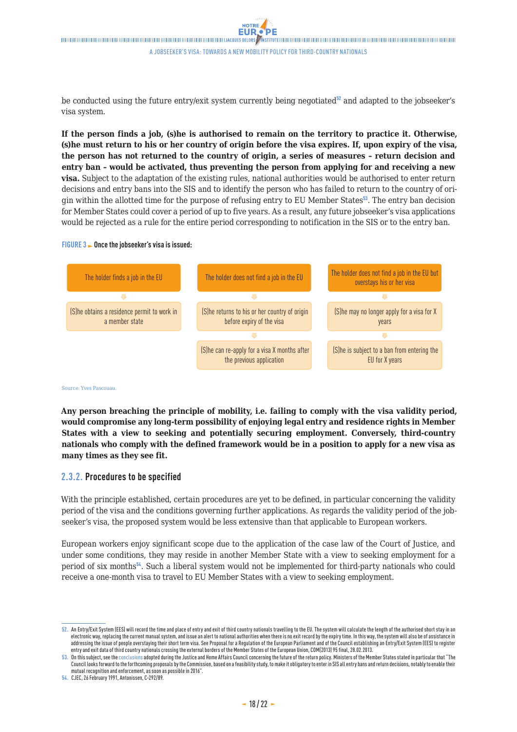<span id="page-17-0"></span>be conducted using the future entry/exit system currently being negotiated $52$  and adapted to the jobseeker's visa system.

**If the person finds a job, (s)he is authorised to remain on the territory to practice it. Otherwise, (s)he must return to his or her country of origin before the visa expires. If, upon expiry of the visa, the person has not returned to the country of origin, a series of measures – return decision and entry ban – would be activated, thus preventing the person from applying for and receiving a new visa.** Subject to the adaptation of the existing rules, national authorities would be authorised to enter return decisions and entry bans into the SIS and to identify the person who has failed to return to the country of origin within the allotted time for the purpose of refusing entry to EU Member States<sup>53</sup>. The entry ban decision for Member States could cover a period of up to five years. As a result, any future jobseeker's visa applications would be rejected as a rule for the entire period corresponding to notification in the SIS or to the entry ban.

#### **FIGURE 3 Once the jobseeker's visa is issued:**



Source: Yves Pascouau.

**Any person breaching the principle of mobility, i.e. failing to comply with the visa validity period, would compromise any long-term possibility of enjoying legal entry and residence rights in Member States with a view to seeking and potentially securing employment. Conversely, third-country nationals who comply with the defined framework would be in a position to apply for a new visa as many times as they see fit.** 

### **2.3.2. Procedures to be specified**

With the principle established, certain procedures are yet to be defined, in particular concerning the validity period of the visa and the conditions governing further applications. As regards the validity period of the jobseeker's visa, the proposed system would be less extensive than that applicable to European workers.

European workers enjoy significant scope due to the application of the case law of the Court of Justice, and under some conditions, they may reside in another Member State with a view to seeking employment for a period of six months<sup>54</sup>. Such a liberal system would not be implemented for third-party nationals who could receive a one-month visa to travel to EU Member States with a view to seeking employment.

**54.** CJEC, 26 February 1991, Antonissen, C-292/89.

**<sup>52.</sup>** An Entry/Exit System (EES) will record the time and place of entry and exit of third country nationals travelling to the EU. The system will calculate the length of the authorised short stay in an electronic way, replacing the current manual system, and issue an alert to national authorities when there is no exit record by the expiry time. In this way, the system will also be of assistance in addressing the issue of people overstaying their short term visa. See Proposal for a Regulation of the European Parliament and of the Council establishing an Entry/Exit System (EES) to register entry and exit data of third country nationals crossing the external borders of the Member States of the European Union, COM(2013) 95 final, 28.02.2013.

**<sup>53.</sup>** On this subject, see the conclusions adopted during the Justice and Home Affairs Council concerning the future of the return policy. Ministers of the Member States stated in particular that "The Council looks forward to the forthcoming proposals by the Commission, based on a feasibility study, to make it obligatory to enter in SIS all entry bans and return decisions, notably to enable their mutual recognition and enforcement, as soon as possible in 2016".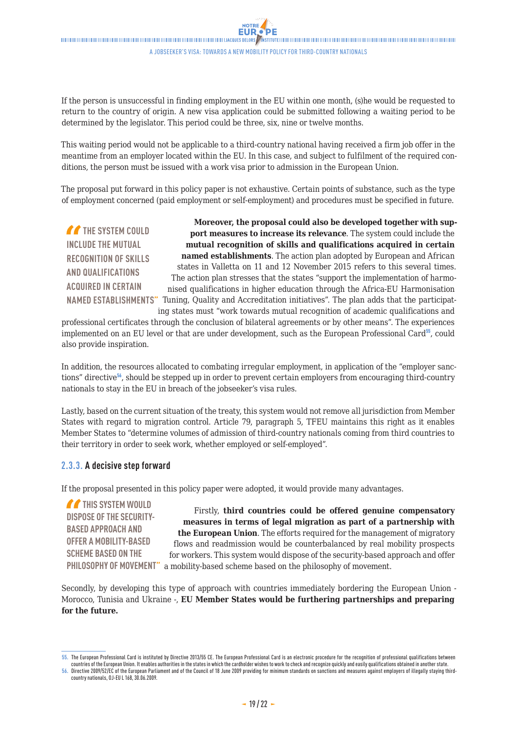<span id="page-18-0"></span>If the person is unsuccessful in finding employment in the EU within one month, (s)he would be requested to return to the country of origin. A new visa application could be submitted following a waiting period to be determined by the legislator. This period could be three, six, nine or twelve months.

This waiting period would not be applicable to a third-country national having received a firm job offer in the meantime from an employer located within the EU. In this case, and subject to fulfilment of the required conditions, the person must be issued with a work visa prior to admission in the European Union.

The proposal put forward in this policy paper is not exhaustive. Certain points of substance, such as the type of employment concerned (paid employment or self-employment) and procedures must be specified in future.

**THE SYSTEM COULD INCLUDE THE MUTUAL RECOGNITION OF SKILLS AND QUALIFICATIONS ACQUIRED IN CERTAIN** 

NAMED ESTABLISHMENTS" Tuning, Quality and Accreditation initiatives". The plan adds that the participat-**Moreover, the proposal could also be developed together with support measures to increase its relevance**. The system could include the **mutual recognition of skills and qualifications acquired in certain named establishments**. The action plan adopted by European and African states in Valletta on 11 and 12 November 2015 refers to this several times. The action plan stresses that the states "support the implementation of harmonised qualifications in higher education through the Africa-EU Harmonisation ing states must "work towards mutual recognition of academic qualifications and

professional certificates through the conclusion of bilateral agreements or by other means". The experiences implemented on an EU level or that are under development, such as the European Professional Card<sup>55</sup>, could also provide inspiration.

In addition, the resources allocated to combating irregular employment, in application of the "employer sanctions" directive<sup>56</sup>, should be stepped up in order to prevent certain employers from encouraging third-country nationals to stay in the EU in breach of the jobseeker's visa rules.

Lastly, based on the current situation of the treaty, this system would not remove all jurisdiction from Member States with regard to migration control. Article 79, paragraph 5, TFEU maintains this right as it enables Member States to "determine volumes of admission of third-country nationals coming from third countries to their territory in order to seek work, whether employed or self-employed".

### **2.3.3. A decisive step forward**

If the proposal presented in this policy paper were adopted, it would provide many advantages.

*T* THIS SYSTEM WOULD **DISPOSE OF THE SECURITY-BASED APPROACH AND OFFER A MOBILITY-BASED SCHEME BASED ON THE** 

PHILOSOPHY OF MOVEMENT" a mobility-based scheme based on the philosophy of movement. Firstly, **third countries could be offered genuine compensatory measures in terms of legal migration as part of a partnership with the European Union**. The efforts required for the management of migratory flows and readmission would be counterbalanced by real mobility prospects for workers. This system would dispose of the security-based approach and offer

Secondly, by developing this type of approach with countries immediately bordering the European Union - Morocco, Tunisia and Ukraine -, **EU Member States would be furthering partnerships and preparing for the future.** 

**<sup>55.</sup>** The European Professional Card is instituted by Directive 2013/55 CE. The European Professional Card is an electronic procedure for the recognition of professional qualifications between countries of the European Union. It enables authorities in the states in which the cardholder wishes to work to check and recognize quickly and easily qualifications obtained in another state.

**<sup>56.</sup>** Directive 2009/52/EC of the European Parliament and of the Council of 18 June 2009 providing for minimum standards on sanctions and measures against employers of illegally staying thirdcountry nationals, OJ-EU L 168, 30.06.2009.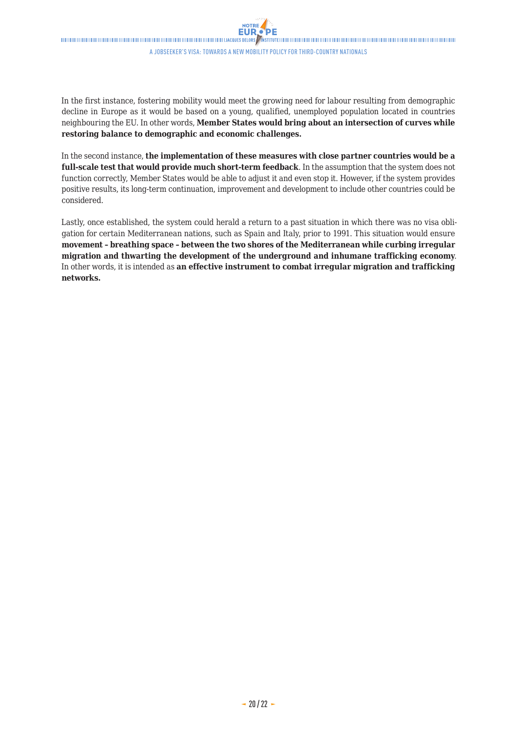In the first instance, fostering mobility would meet the growing need for labour resulting from demographic decline in Europe as it would be based on a young, qualified, unemployed population located in countries neighbouring the EU. In other words, **Member States would bring about an intersection of curves while restoring balance to demographic and economic challenges.**

In the second instance, **the implementation of these measures with close partner countries would be a full-scale test that would provide much short-term feedback**. In the assumption that the system does not function correctly, Member States would be able to adjust it and even stop it. However, if the system provides positive results, its long-term continuation, improvement and development to include other countries could be considered.

Lastly, once established, the system could herald a return to a past situation in which there was no visa obligation for certain Mediterranean nations, such as Spain and Italy, prior to 1991. This situation would ensure **movement – breathing space – between the two shores of the Mediterranean while curbing irregular migration and thwarting the development of the underground and inhumane trafficking economy**. In other words, it is intended as **an effective instrument to combat irregular migration and trafficking networks.**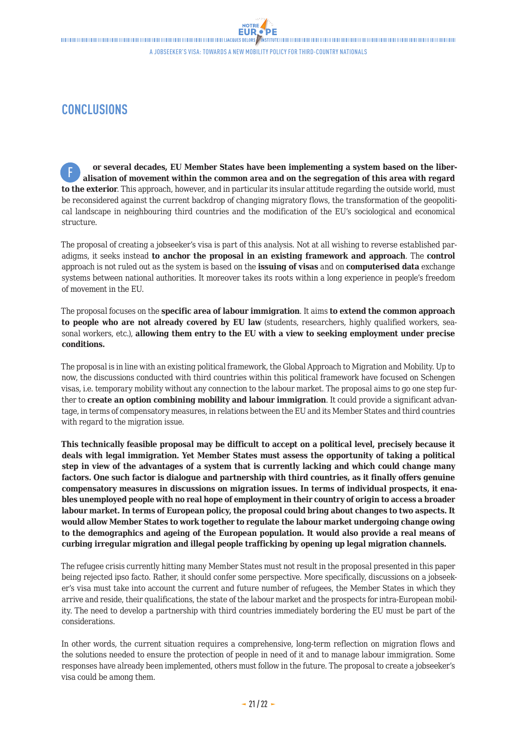### <span id="page-20-0"></span>**CONCLUSIONS**

**or several decades, EU Member States have been implementing a system based on the liberalisation of movement within the common area and on the segregation of this area with regard to the exterior**. This approach, however, and in particular its insular attitude regarding the outside world, must be reconsidered against the current backdrop of changing migratory flows, the transformation of the geopolitical landscape in neighbouring third countries and the modification of the EU's sociological and economical structure. F

The proposal of creating a jobseeker's visa is part of this analysis. Not at all wishing to reverse established paradigms, it seeks instead **to anchor the proposal in an existing framework and approach**. The **control** approach is not ruled out as the system is based on the **issuing of visas** and on **computerised data** exchange systems between national authorities. It moreover takes its roots within a long experience in people's freedom of movement in the EU.

The proposal focuses on the **specific area of labour immigration**. It aims **to extend the common approach**  to people who are not already covered by EU law (students, researchers, highly qualified workers, seasonal workers, etc.), **allowing them entry to the EU with a view to seeking employment under precise conditions.** 

The proposal is in line with an existing political framework, the Global Approach to Migration and Mobility. Up to now, the discussions conducted with third countries within this political framework have focused on Schengen visas, i.e. temporary mobility without any connection to the labour market. The proposal aims to go one step further to **create an option combining mobility and labour immigration**. It could provide a significant advantage, in terms of compensatory measures, in relations between the EU and its Member States and third countries with regard to the migration issue.

**This technically feasible proposal may be difficult to accept on a political level, precisely because it deals with legal immigration. Yet Member States must assess the opportunity of taking a political step in view of the advantages of a system that is currently lacking and which could change many factors. One such factor is dialogue and partnership with third countries, as it finally offers genuine compensatory measures in discussions on migration issues. In terms of individual prospects, it enables unemployed people with no real hope of employment in their country of origin to access a broader labour market. In terms of European policy, the proposal could bring about changes to two aspects. It would allow Member States to work together to regulate the labour market undergoing change owing to the demographics and ageing of the European population. It would also provide a real means of curbing irregular migration and illegal people trafficking by opening up legal migration channels.**

The refugee crisis currently hitting many Member States must not result in the proposal presented in this paper being rejected ipso facto. Rather, it should confer some perspective. More specifically, discussions on a jobseeker's visa must take into account the current and future number of refugees, the Member States in which they arrive and reside, their qualifications, the state of the labour market and the prospects for intra-European mobility. The need to develop a partnership with third countries immediately bordering the EU must be part of the considerations.

In other words, the current situation requires a comprehensive, long-term reflection on migration flows and the solutions needed to ensure the protection of people in need of it and to manage labour immigration. Some responses have already been implemented, others must follow in the future. The proposal to create a jobseeker's visa could be among them.